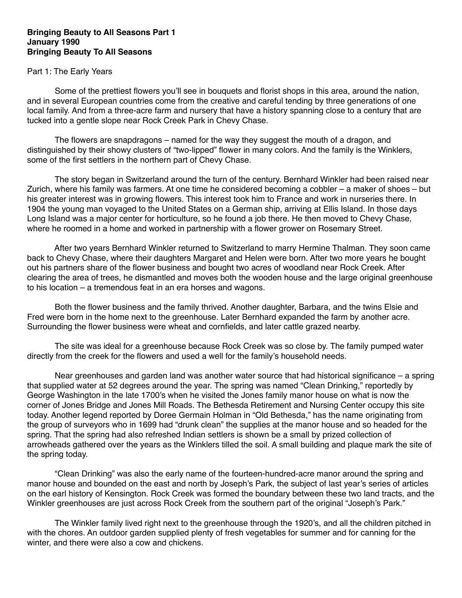## **Bringing Beauty to All Seasons Part 1 January 1990 Bringing Beauty To All Seasons**

## Part 1: The Early Years

 Some of the prettiest flowers you'll see in bouquets and florist shops in this area, around the nation, and in several European countries come from the creative and careful tending by three generations of one local family. And from a three-acre farm and nursery that have a history spanning close to a century that are tucked into a gentle slope near Rock Creek Park in Chevy Chase.

 The flowers are snapdragons – named for the way they suggest the mouth of a dragon, and distinguished by their showy clusters of "two-lipped" flower in many colors. And the family is the Winklers, some of the first settlers in the northern part of Chevy Chase.

 The story began in Switzerland around the turn of the century. Bernhard Winkler had been raised near Zurich, where his family was farmers. At one time he considered becoming a cobbler – a maker of shoes – but his greater interest was in growing flowers. This interest took him to France and work in nurseries there. In 1904 the young man voyaged to the United States on a German ship, arriving at Ellis Island. In those days Long Island was a major center for horticulture, so he found a job there. He then moved to Chevy Chase, where he roomed in a home and worked in partnership with a flower grower on Rosemary Street.

 After two years Bernhard Winkler returned to Switzerland to marry Hermine Thalman. They soon came back to Chevy Chase, where their daughters Margaret and Helen were born. After two more years he bought out his partners share of the flower business and bought two acres of woodland near Rock Creek. After clearing the area of trees, he dismantled and moves both the wooden house and the large original greenhouse to his location – a tremendous feat in an era horses and wagons.

 Both the flower business and the family thrived. Another daughter, Barbara, and the twins Elsie and Fred were born in the home next to the greenhouse. Later Bernhard expanded the farm by another acre. Surrounding the flower business were wheat and cornfields, and later cattle grazed nearby.

 The site was ideal for a greenhouse because Rock Creek was so close by. The family pumped water directly from the creek for the flowers and used a well for the family's household needs.

 Near greenhouses and garden land was another water source that had historical significance – a spring that supplied water at 52 degrees around the year. The spring was named "Clean Drinking," reportedly by George Washington in the late 1700's when he visited the Jones family manor house on what is now the corner of Jones Bridge and Jones Mill Roads. The Bethesda Retirement and Nursing Center occupy this site today. Another legend reported by Doree Germain Holman in "Old Bethesda," has the name originating from the group of surveyors who in 1699 had "drunk clean" the supplies at the manor house and so headed for the spring. That the spring had also refreshed Indian settlers is shown be a small by prized collection of arrowheads gathered over the years as the Winklers tilled the soil. A small building and plaque mark the site of the spring today.

 "Clean Drinking" was also the early name of the fourteen-hundred-acre manor around the spring and manor house and bounded on the east and north by Joseph's Park, the subject of last year's series of articles on the earl history of Kensington. Rock Creek was formed the boundary between these two land tracts, and the Winkler greenhouses are just across Rock Creek from the southern part of the original "Joseph's Park."

 The Winkler family lived right next to the greenhouse through the 1920's, and all the children pitched in with the chores. An outdoor garden supplied plenty of fresh vegetables for summer and for canning for the winter, and there were also a cow and chickens.